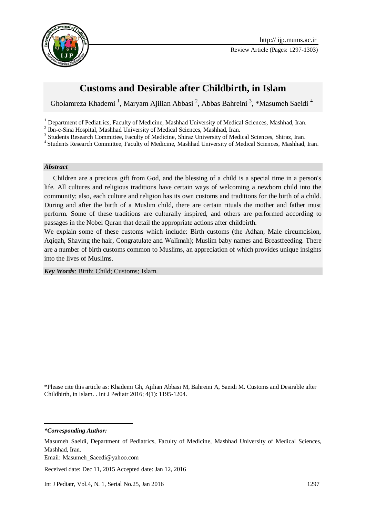



# **Customs and Desirable after Childbirth, in Islam**

Gholamreza Khademi<sup>1</sup>, Maryam Ajilian Abbasi<sup>2</sup>, Abbas Bahreini<sup>3</sup>, \*Masumeh Saeidi<sup>4</sup>

<sup>1</sup> Department of Pediatrics, Faculty of Medicine, Mashhad University of Medical Sciences, Mashhad, Iran.

<sup>2</sup> Ibn-e-Sina Hospital, Mashhad University of Medical Sciences, Mashhad, Iran.

<sup>3</sup> Students Research Committee, Faculty of Medicine, Shiraz University of Medical Sciences, Shiraz, Iran.

<sup>4</sup> Students Research Committee, Faculty of Medicine, Mashhad University of Medical Sciences, Mashhad, Iran.

#### *Abstract*

Children are a precious gift from God, and the blessing of a child is a special time in a person's life. All cultures and religious traditions have certain ways of welcoming a newborn child into the community; also, each culture and religion has its own customs and traditions for the birth of a child. During and after the birth of a Muslim child, there are certain rituals the mother and father must perform. Some of these traditions are culturally inspired, and others are performed according to passages in the Nobel Quran that detail the appropriate actions after childbirth.

We explain some of these customs which include: Birth customs (the Adhan, Male circumcision, Aqiqah, Shaving the hair, Congratulate and Walīmah); Muslim baby names and Breastfeeding. There are a number of birth customs common to Muslims, an appreciation of which provides unique insights into the lives of Muslims.

*Key Words*: Birth; Child; Customs; Islam.

\*Please cite this article as: Khademi Gh, Ajilian Abbasi M, Bahreini A, Saeidi M. Customs and Desirable after Childbirth, in Islam. . Int J Pediatr 2016; 4(1): 1195-1204.

*\*Corresponding Author:*

-

Received date: Dec 11, 2015 Accepted date: Jan 12, 2016

Int J Pediatr, Vol.4, N. 1, Serial No.25, Jan 2016 1297

Masumeh Saeidi, Department of Pediatrics, Faculty of Medicine, Mashhad University of Medical Sciences, Mashhad, Iran.

Email: [Masumeh\\_Saeedi@yahoo.com](mailto:Masumeh_Saeedi@yahoo.com)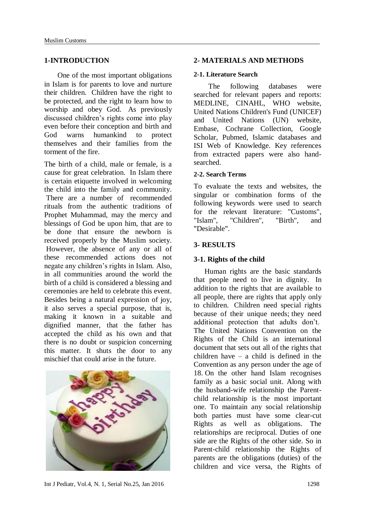#### **1-INTRODUCTION**

One of the most important obligations in Islam is for parents to love and nurture their children. Children have the right to be protected, and the right to learn how to worship and obey God. As previously discussed children's rights come into play even before their conception and birth and God warns humankind to protect themselves and their families from the torment of the fire.

The birth of a child, male or female, is a cause for great celebration. In Islam there is certain etiquette involved in welcoming the child into the family and community. There are a number of recommended rituals from the authentic traditions of Prophet Muhammad, may the mercy and blessings of God be upon him, that are to be done that ensure the newborn is received properly by the Muslim society. However, the absence of any or all of these recommended actions does not negate any children's rights in Islam. Also, in all communities around the world the birth of a child is considered a blessing and ceremonies are held to celebrate this event. Besides being a natural expression of joy, it also serves a special purpose, that is, making it known in a suitable and dignified manner, that the father has accepted the child as his own and that there is no doubt or suspicion concerning this matter. It shuts the door to any mischief that could arise in the future.



### **2- MATERIALS AND METHODS**

#### **2-1. Literature Search**

 The following databases were searched for relevant papers and reports: MEDLINE, CINAHL, WHO website, United Nations Children's Fund (UNICEF) and United Nations (UN) website, Embase, Cochrane Collection, Google Scholar, Pubmed, Islamic databases and ISI Web of Knowledge. Key references from extracted papers were also handsearched.

#### **2-2. Search Terms**

To evaluate the texts and websites, the singular or combination forms of the following keywords were used to search for the relevant literature: "Customs", "Islam", "Children", "Birth", and "Desirable".

### **3- RESULTS**

#### **3-1. Rights of the child**

 Human rights are the basic standards that people need to live in dignity. In addition to the rights that are available to all people, there are rights that apply only to children. Children need special rights because of their unique needs; they need additional protection that adults don't. The United Nations Convention on the Rights of the Child is an international document that sets out all of the rights that children have – a child is defined in the Convention as any person under the age of 18. On the other hand Islam recognises family as a basic social unit. Along with the husband-wife relationship the Parentchild relationship is the most important one. To maintain any social relationship both parties must have some clear-cut Rights as well as obligations. The relationships are reciprocal. Duties of one side are the Rights of the other side. So in Parent-child relationship the Rights of parents are the obligations (duties) of the children and vice versa, the Rights of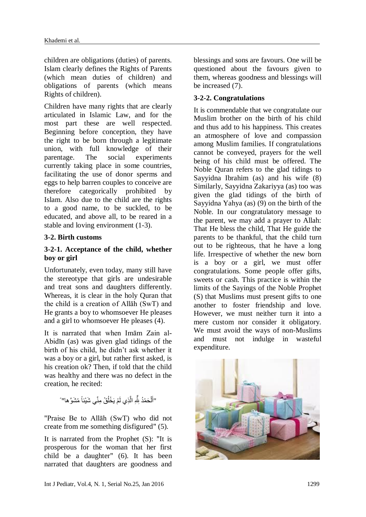children are obligations (duties) of parents. Islam clearly defines the Rights of Parents (which mean duties of children) and obligations of parents (which means Rights of children).

Children have many rights that are clearly articulated in Islamic Law, and for the most part these are well respected. Beginning before conception, they have the right to be born through a legitimate union, with full knowledge of their parentage. The social experiments currently taking place in some countries, facilitating the use of donor sperms and eggs to help barren couples to conceive are therefore categorically prohibited by Islam. Also due to the child are the rights to a good name, to be suckled, to be educated, and above all, to be reared in a stable and loving environment (1-3).

### **3-2. Birth customs**

### **3-2-1. Acceptance of the child, whether boy or girl**

Unfortunately, even today, many still have the stereotype that girls are undesirable and treat sons and daughters differently. Whereas, it is clear in the holy Quran that the child is a creation of Allāh (SwT) and He grants a boy to whomsoever He pleases and a girl to whomsoever He pleases (4).

It is narrated that when Imām Zain al-Abidīn (as) was given glad tidings of the birth of his child, he didn't ask whether it was a boy or a girl, but rather first asked, is his creation ok? Then, if told that the child was healthy and there was no defect in the creation, he recited:

> "أَلْحَمْدُ شِّهِ الَّذِي لَمْ يَخْلُقْ مِنِّي شَيْئاً مُشَوَّ ها" ً ً ا<br>ا َّ ْ َ

"Praise Be to Allāh (SwT) who did not create from me something disfigured" (5).

It is narrated from the Prophet (S): "It is prosperous for the woman that her first child be a daughter" (6). It has been narrated that daughters are goodness and blessings and sons are favours. One will be questioned about the favours given to them, whereas goodness and blessings will be increased (7).

### **3-2-2. Congratulations**

It is commendable that we congratulate our Muslim brother on the birth of his child and thus add to his happiness. This creates an atmosphere of love and compassion among Muslim families. If congratulations cannot be conveyed, prayers for the well being of his child must be offered. The Noble Quran refers to the glad tidings to Sayyidna Ibrahim (as) and his wife (8) Similarly, Sayyidna Zakariyya (as) too was given the glad tidings of the birth of Sayyidna Yahya (as) (9) on the birth of the Noble. In our congratulatory message to the parent, we may add a prayer to Allah: That He bless the child, That He guide the parents to be thankful, that the child turn out to be righteous, that he have a long life. Irrespective of whether the new born is a boy or a girl, we must offer congratulations. Some people offer gifts, sweets or cash. This practice is within the limits of the Sayings of the Noble Prophet (S) that Muslims must present gifts to one another to foster friendship and love. However, we must neither turn it into a mere custom nor consider it obligatory. We must avoid the ways of non-Muslims and must not indulge in wasteful expenditure.

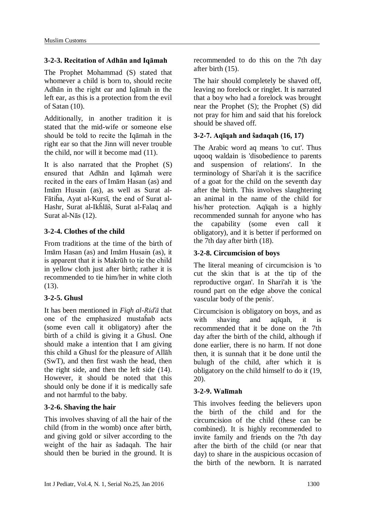### **3-2-3. Recitation of Adhān and Iqāmah**

The Prophet Mohammad (S) stated that whomever a child is born to, should recite Adhān in the right ear and Iqāmah in the left ear, as this is a protection from the evil of Satan (10).

Additionally, in another tradition it is stated that the mid-wife or someone else should be told to recite the Iqāmah in the right ear so that the Jinn will never trouble the child, nor will it become mad (11).

It is also narrated that the Prophet (S) ensured that Adhān and Iqāmah were recited in the ears of Imām Hasan (as) and Imām Husain (as), as well as Surat al-Fātiĥa, Ayat al-Kursī, the end of Surat al-Hashr, Surat al-Ikĥlāŝ, Surat al-Falaq and Surat al-Nās (12).

### **3-2-4. Clothes of the child**

From traditions at the time of the birth of Imām Hasan (as) and Imām Husain (as), it is apparent that it is Makrūh to tie the child in yellow cloth just after birth; rather it is recommended to tie him/her in white cloth (13).

### **3-2-5. Ghusl**

It has been mentioned in *Fiqh al-Riďā* that one of the emphasized mustaĥab acts (some even call it obligatory) after the birth of a child is giving it a Ghusl. One should make a intention that I am giving this child a Ghusl for the pleasure of Allāh (SwT), and then first wash the head, then the right side, and then the left side (14). However, it should be noted that this should only be done if it is medically safe and not harmful to the baby.

#### **3-2-6. Shaving the hair**

This involves shaving of all the hair of the child (from in the womb) once after birth, and giving gold or silver according to the weight of the hair as ŝadaqah. The hair should then be buried in the ground. It is recommended to do this on the 7th day after birth (15).

The hair should completely be shaved off, leaving no forelock or ringlet. It is narrated that a boy who had a forelock was brought near the Prophet (S); the Prophet (S) did not pray for him and said that his forelock should be shaved off.

### **3-2-7. Aqīqah and ŝadaqah (16, 17)**

The Arabic word aq means 'to cut'. Thus uqooq waldain is 'disobedience to parents and suspension of relations'. In the terminology of Shari'ah it is the sacrifice of a goat for the child on the seventh day after the birth. This involves slaughtering an animal in the name of the child for his/her protection. Aqīqah is a highly recommended sunnah for anyone who has the capability (some even call it obligatory), and it is better if performed on the 7th day after birth (18).

### **3-2-8. Circumcision of boys**

The literal meaning of circumcision is 'to cut the skin that is at the tip of the reproductive organ'. In Shari'ah it is 'the round part on the edge above the conical vascular body of the penis'.

Circumcision is obligatory on boys, and as with shaving and aqīqah, it is recommended that it be done on the 7th day after the birth of the child, although if done earlier, there is no harm. If not done then, it is sunnah that it be done until the bulugh of the child, after which it is obligatory on the child himself to do it (19, 20).

### **3-2-9. Walīmah**

This involves feeding the believers upon the birth of the child and for the circumcision of the child (these can be combined). It is highly recommended to invite family and friends on the 7th day after the birth of the child (or near that day) to share in the auspicious occasion of the birth of the newborn. It is narrated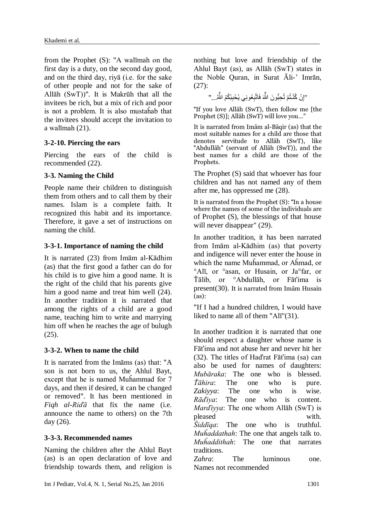from the Prophet (S): "A walīmah on the first day is a duty, on the second day good, and on the third day, riyā (i.e. for the sake of other people and not for the sake of Allāh (SwT))". It is Makrūh that all the invitees be rich, but a mix of rich and poor is not a problem. It is also mustaĥab that the invitees should accept the invitation to a walīmah (21).

### **3-2-10. Piercing the ears**

Piercing the ears of the child is recommended (22).

## **3-3. [Naming the Child](http://www.al-islam.org/from-marriage-to-parenthood-heavenly-path-abbas-and-shaheen-merali/chapter-8-after-delivery#naming-child)**

People name their children to distinguish them from others and to call them by their names. Islam is a complete faith. It recognized this habit and its importance. Therefore, it gave a set of instructions on naming the child.

### **3-3-1. [Importance of naming the child](http://www.al-islam.org/from-marriage-to-parenthood-heavenly-path-abbas-and-shaheen-merali/chapter-8-after-delivery#importance-naming-child)**

It is narrated (23) from Imām al-Kādhim (as) that the first good a father can do for his child is to give him a good name. It is the right of the child that his parents give him a good name and treat him well (24). In another tradition it is narrated that among the rights of a child are a good name, teaching him to write and marrying him off when he reaches the age of bulugh (25).

### **3-3-2. [When to name the child](http://www.al-islam.org/from-marriage-to-parenthood-heavenly-path-abbas-and-shaheen-merali/chapter-8-after-delivery#when-name-child)**

It is narrated from the Imāms (as) that: "A son is not born to us, the Ahlul Bayt, except that he is named Muĥammad for 7 days, and then if desired, it can be changed or remove[d".](http://www.al-islam.org/from-marriage-to-parenthood-heavenly-path-abbas-and-shaheen-merali/chapter-8-after-delivery#f_fcd2cad6_38) It has been mentioned in *Fiqh al-Riďā* that fix the name (i.e. announce the name to others) on the 7th day (26).

## **3-3-3. Recommended names**

Naming the children after the Ahlul Bayt (as) is an open declaration of love and friendship towards them, and religion is nothing but love and friendship of the Ahlul Bayt (as), as Allāh (SwT) states in the Noble Quran, in Surat Āli-' Imrān, (27):

> "إِنْ كُنْـتُمْ تُحِبُّونَ اللَّهَ فَاتَّبِعُونِي يُحْبِبْكُمُ اللَّهُ..." ٌ ٌ

"If you love Allāh (SwT), then follow me [the Prophet (S)]; Allāh (SwT) will love you…"

It is narrated from Imām al-Bāqir (as) that the most suitable names for a child are those that denotes servitude to Allāh (SwT), like "Abdullāh" (servant of Allāh (SwT)), and the best names for a child are those of the Prophets.

The Prophet (S) said that whoever has four children and has not named any of them after me, has oppressed me (28).

It is narrated from the Prophet (S): "In a house where the names of some of the individuals are of Prophet (S), the blessings of that house will never disappear" (29).

In another tradition, it has been narrated from Imām al-Kādhim (as) that poverty and indigence will never enter the house in which the name Muĥammad, or Aĥmad, or °Alī, or °asan, or Husain, or Ja°far, or Ťālib, or °Abdullāh, or Fāťima is present(30). It is narrated from Imām Husain (as):

"If I had a hundred children, I would have liked to name all of them "Alī"(31).

In another tradition it is narrated that one should respect a daughter whose name is Fāťima and not abuse her and never hit her (32). The titles of Haďrat Fāťima (sa) can also be used for names of daughters: *Mubāraka*: The one who is blessed. *Ťāhira*: The one who is pure. *Zakiyya*: The one who is wise. *Rāďiya*: The one who is content. *Marďiyya*: The one whom Allāh (SwT) is pleased with. *Ŝiddīqa*: The one who is truthful. *Muĥaddathah*: The one that angels talk to. *Muĥaddithah*: The one that narrates traditions.

*Zahra*: The luminous one. Names not recommended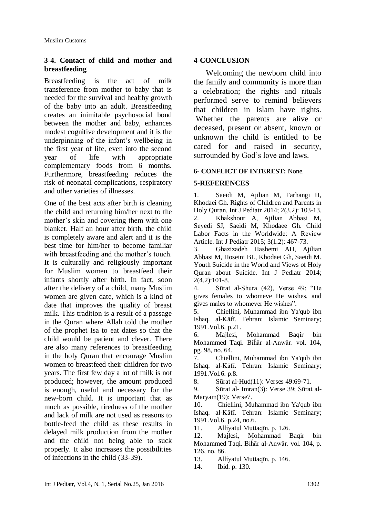### **3-4. Contact of child and mother and breastfeeding**

Breastfeeding is the act of milk transference from mother to baby that is needed for the survival and healthy growth of the baby into an adult. Breastfeeding creates an inimitable psychosocial bond between the mother and baby, enhances modest cognitive development and it is the underpinning of the infant's wellbeing in the first year of life, even into the second year of life with appropriate complementary foods from 6 months. Furthermore, breastfeeding reduces the risk of neonatal complications, respiratory and other varieties of illnesses.

One of the best acts after birth is cleaning the child and returning him/her next to the mother's skin and covering them with one blanket. Half an hour after birth, the child is completely aware and alert and it is the best time for him/her to become familiar with breastfeeding and the mother's touch. It is culturally and religiously important for Muslim women to breastfeed their infants shortly after birth. In fact, soon after the delivery of a child, many Muslim women are given date, which is a kind of date that improves the quality of breast milk. This tradition is a result of a passage in the Quran where Allah told the mother of the prophet Isa to eat dates so that the child would be patient and clever. There are also many references to breastfeeding in the holy Quran that encourage Muslim women to breastfeed their children for two years. The first few day a lot of milk is not produced; however, the amount produced is enough, useful and necessary for the new-born child. It is important that as much as possible, tiredness of the mother and lack of milk are not used as reasons to bottle-feed the child as these results in delayed milk production from the mother and the child not being able to suck properly. It also increases the possibilities of infections in the child (33-39).

### **4-CONCLUSION**

 Welcoming the newborn child into the family and community is more than a celebration; the rights and rituals performed serve to remind believers that children in Islam have rights. Whether the parents are alive or deceased, present or absent, known or unknown the child is entitled to be cared for and raised in security, surrounded by God's love and laws.

### **6- CONFLICT OF INTEREST:** None.

### **5-REFERENCES**

1. Saeidi M, Ajilian M, Farhangi H, Khodaei Gh. Rights of Children and Parents in Holy Quran. Int J Pediatr 2014; 2(3.2): 103-13. 2. Khakshour A, Ajilian Abbasi M, Seyedi SJ, Saeidi M, Khodaee Gh. Child Labor Facts in the Worldwide: A Review Article. Int J Pediatr 2015; 3(1.2): 467-73.

3. Ghazizadeh Hashemi AH, Ajilian Abbasi M, Hoseini BL, Khodaei Gh, Saeidi M. Youth Suicide in the World and Views of Holy Quran about Suicide. Int J Pediatr 2014;  $2(4.2):101-8.$ 

4. Sūrat al-Shura (42), Verse 49: "He gives females to whomeve He wishes, and gives males to whomever He wishes".

5. Chiellini, Muhammad ibn Ya'qub ibn Ishaq. al-Kāfī. Tehran: Islamic Seminary; 1991.Vol.6. p.21.

6. Majlesi, Mohammad Baqir bin Mohammed Taqi. Biĥār al-Anwār. vol. 104, pg. 98, no. 64.

7. Chiellini, Muhammad ibn Ya'qub ibn Ishaq. al-Kāfī. Tehran: Islamic Seminary; 1991.Vol.6. p.8.

8. Sūrat al-Hud(11): Verses 49:69-71.

9. Sūrat al- Imran(3): Verse 39; Sūrat al-Maryam(19): Verse7.

10. Chiellini, Muhammad ibn Ya'qub ibn Ishaq. al-Kāfī. Tehran: Islamic Seminary; 1991.Vol.6. p.24, no.6.

11. Alliyatul Muttaqīn. p. 126.

12. Majlesi, Mohammad Baqir bin Mohammed Taqi. Biĥār al-Anwār. vol. 104, p. 126, no. 86.

13. Alliyatul Muttaqīn. p. 146.

14. Ibid. p. 130.